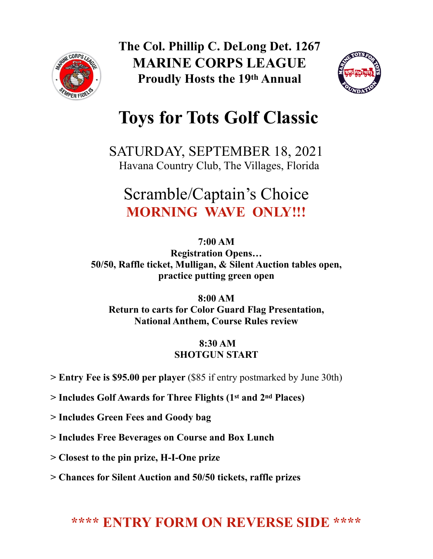

**The Col. Phillip C. DeLong Det. 1267 MARINE CORPS LEAGUE Proudly Hosts the 19th Annual** 



# **Toys for Tots Golf Classic**

SATURDAY, SEPTEMBER 18, 2021 Havana Country Club, The Villages, Florida

## Scramble/Captain's Choice **MORNING WAVE ONLY!!!**

**7:00 AM Registration Opens… 50/50, Raffle ticket, Mulligan, & Silent Auction tables open, practice putting green open** 

**8:00 AM Return to carts for Color Guard Flag Presentation, National Anthem, Course Rules review** 

#### **8:30 AM SHOTGUN START**

- **> Entry Fee is \$95.00 per player** (\$85 if entry postmarked by June 30th)
- **> Includes Golf Awards for Three Flights (1st and 2nd Places)**
- **> Includes Green Fees and Goody bag**
- **> Includes Free Beverages on Course and Box Lunch**
- **> Closest to the pin prize, H-I-One prize**
- **> Chances for Silent Auction and 50/50 tickets, raffle prizes**

### **\*\*\*\* ENTRY FORM ON REVERSE SIDE \*\*\*\***